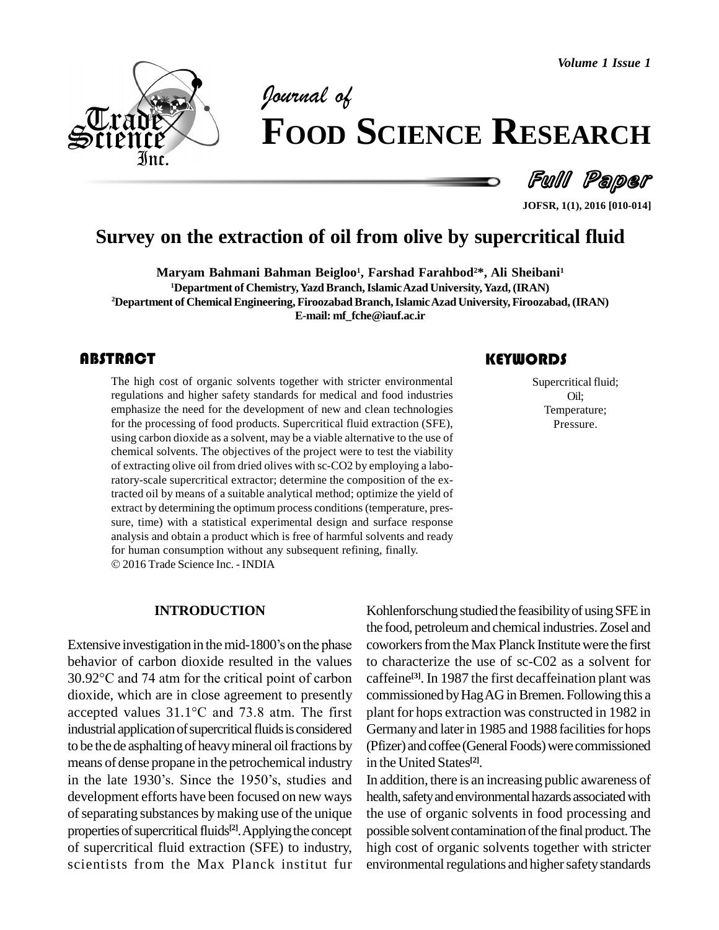*Volume 1 Issue 1*



# *of* **FOOD SCIENCE RESEARCH**

Full Paper

**JOFSR, 1(1), 2016 [010-014]**

# **Survey on the extraction of oil from olive by supercritical fluid**

**Maryam Bahmani Bahman Beigloo 1 , Farshad Farahbod <sup>2</sup>\*, Ali Sheibani<sup>1</sup> <sup>1</sup>Department of Chemistry,YazdBranch,IslamicAzad University,Yazd,(IRAN) <sup>2</sup>Department of ChemicalEngineering, FiroozabadBranch,IslamicAzadUniversity, Firoozabad,(IRAN) E-mail: [mf\\_fche@iauf.ac.ir](mailto:mf_fche@iauf.ac.ir)**

# **ABSTRACT**

The high cost of organic solvents together with stricter environmental regulations and higher safety standards for medical and food industries Oil;<br>emphasize the need for the development of new and clean technologies Tempe The high cost of organic solvents together with stricter environmental regulations and higher safety standards for medical and food industries emphasize the need for the development of new and clean technologies for the processing of food products. Supercritical fluid extraction (SFE), using carbon dioxide as a solvent, may be a viable alternative to the use of chemical solvents. The objectives of the project were to test the viability of extracting olive oil from dried olives with sc-CO2 by employing a laboratory-scale supercritical extractor; determine the composition of the extracted oil by means of a suitable analytical method; optimize the yield of extract by determining the optimum process conditions(temperature, pres sure, time) with a statistical experimental design and surface response analysis and obtain a product which is free of harmful solvents and ready for human consumption without any subsequent refining, finally. 2016 Trade Science Inc. - INDIA

### **INTRODUCTION**

**Extensive investigation in the mid-1800's on the phase** cowor behavior of carbon dioxide resulted in the values Extensive investigation in the mid-1800's on the phase cowork<br>behavior of carbon dioxide resulted in the values to char<br>30.92°C and 74 atm for the critical point of carbon caffein dioxide, which are in close agreement to presently 30.92 $^{\circ}$ C and 74 atm for the critical point of carbon dioxide, which are in close agreement to presently accepted values  $31.1^{\circ}$ C and 73.8 atm. The first industrial application of supercritical fluids is considered to be the de asphalting of heavy mineral oil fractions by means of dense propane in the petrochemical industry in the late 1930's. Since the 1950's, studies and development efforts have been focused on new ways of separating substances by making use of the unique properties of supercritical fluids<sup>[2]</sup>. Applying the concept po of supercritical fluid extraction (SFE) to industry, scientists from the Max Planck institut fur

# **KEYWORDS**

Supercritical fluid; Oil; Temperature; Pressure.

Kohlenforschung studied the feasibility of using SFE in the food, petroleumand chemical industries.Zosel and coworkers from the Max Planck Institute were the first to characterize the use of sc-C02 as a solvent for caffeine **[3]**. In 1987 the first decaffeination plant was commissioned by Hag AG in Bremen. Following this a plant for hops extraction was constructed in 1982 in Germany and later in 1985 and 1988 facilities for hops (Pfizer) and coffee (General Foods) were commissioned in the United States **[2]**.

In addition, there is an increasing public awareness of health, safety and environmental hazards associated with the use of organic solvents in food processing and possible solvent contamination of the final product. The high cost of organic solvents together with stricter environmental regulations and higher safety standards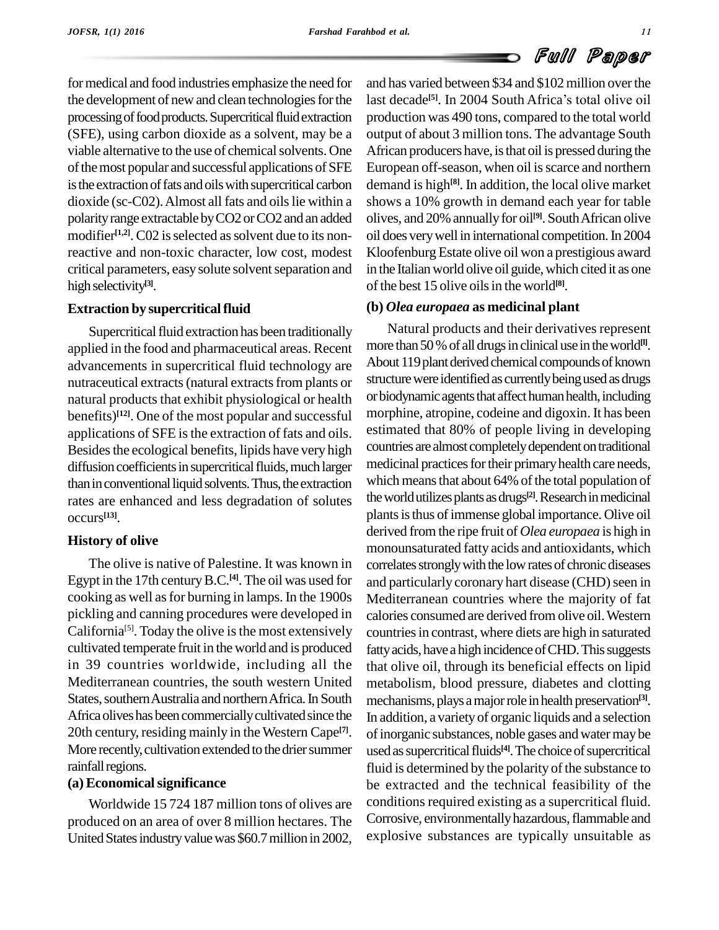for medical and food industries emphasize the need for the development of new and clean technologies for the processing of food products. Supercritical fluid extraction (SFE), using carbon dioxide as a solvent, may be a viable alternative to the use of chemical solvents. One of the most popular and successful applications of SFE is the extraction of fats and oils with supercritical carbon dioxide (sc-C02). Almost all fats and oils lie within a polarity range extractable by CO2 or CO2 and an added modifier<sup>[1,2]</sup>. C02 is selected as solvent due to its nonreactive and non-toxic character, low cost, modest critical parameters, easy solute solvent separation and high selectivity<sup>[3]</sup>.

# **Extraction** by supercritical fluid

Supercritical fluid extraction has been traditionally applied in the food and pharmaceutical areas. Recent advancements in supercritical fluid technology are nutraceutical extracts (natural extracts from plants or natural products that exhibit physiological or health benefits) **[12]**. One of the most popular and successful applications of SFE is the extraction of fats and oils. Besides the ecological benefits, lipids have very high diffusion coefficients in supercritical fluids, much larger than in conventional liquid solvents. Thus, the extraction rates are enhanced and less degradation of solutes occurs **[13]**.

# **History of olive**

The olive is native of Palestine. It was known in Egypt in the 17th century B.C.<sup>[4]</sup>. The oil was used for and cooking as well asfor burning in lamps. In the 1900s pickling and canning procedures were developed in California<sup>[5]</sup>. Today the olive is the most extensively countri cultivated temperate fruit in the world and is produced in 39 countries worldwide, including all the Mediterranean countries, the south western United States, southern Australia and northern Africa. In South Africa olives has been commercially cultivated since the 20th century, residing mainly in the Western Cape<sup>[7]</sup>. More recently, cultivation extended to the drier summer rainfall regions.

# **(a) Economicalsignificance**

Worldwide 15 724 187 million tons of olives are produced on an area of over 8 million hectares. The United States industry value was \$60.7 million in 2002,

and has varied between \$34 and \$102 million over the last decade<sup>[5]</sup>. In 2004 South Africa's total olive oil **Example 31**<br> **Example 334** and \$102 million over the<br>
<sup>[5]</sup>. In 2004 South Africa's total olive oil production was 490 tons, compared to the total world output of about 3 million tons. The advantage South African producers have, is that oil is pressed during the European off-season, when oil is scarce and northern demand is high<sup>[8]</sup>. In addition, the local olive market shows a 10% growth in demand each year for table olives, and 20% annually for oil<sup>[9]</sup>. South African olive oil does verywell in international competition.In 2004 Kloofenburg Estate olive oil won a prestigious award in the Italian world olive oil guide, which cited it as one of the best 15 olive oils in the world<sup>[8]</sup>.

# **(b)** *Olea europaea* **as medicinal plant**

<sup>[7]</sup>. of inorganic substances, noble gases and water may be Natural products and their derivatives represent more than 50 % of all drugs in clinical use in the world<sup>[1]</sup>. About 119 plant derived chemical compounds of known structure were identified as currently being used as drugs or biodynamic agents that affect human health, including morphine, atropine, codeine and digoxin. It has been estimated that 80% of people living in developing countries are almost completely dependent on traditional medicinal practices for their primary health care needs, which means that about 64% of the total population of the world utilizes plants as drugs<sup>[2]</sup>. Research in medicinal plants is thus of immense global importance. Olive oil derived from the ripe fruit of *Olea europaea* ishigh in monounsaturated fatty acids and antioxidants, which correlates strongly with the low rates of chronic diseases and particularly coronary hart disease (CHD) seen in Mediterranean countries where the majority of fat calories consumed are derived fromolive oil.Western countries in contrast, where diets are high in saturated fatty acids, have a high incidence of CHD. This suggests that olive oil, through its beneficial effects on lipid metabolism, blood pressure, diabetes and clotting mechanisms,plays amajorrole inhealth preservation **[3]**. In addition, a varietyof organic liquids and a selection used as supercritical fluids<sup>[4]</sup>. The choice of supercritical fluid is determined by the polarity of the substance to be extracted and the technical feasibility of the conditions required existing as a supercritical fluid. Corrosive, environmentally hazardous, flammable and explosive substances are typically unsuitable as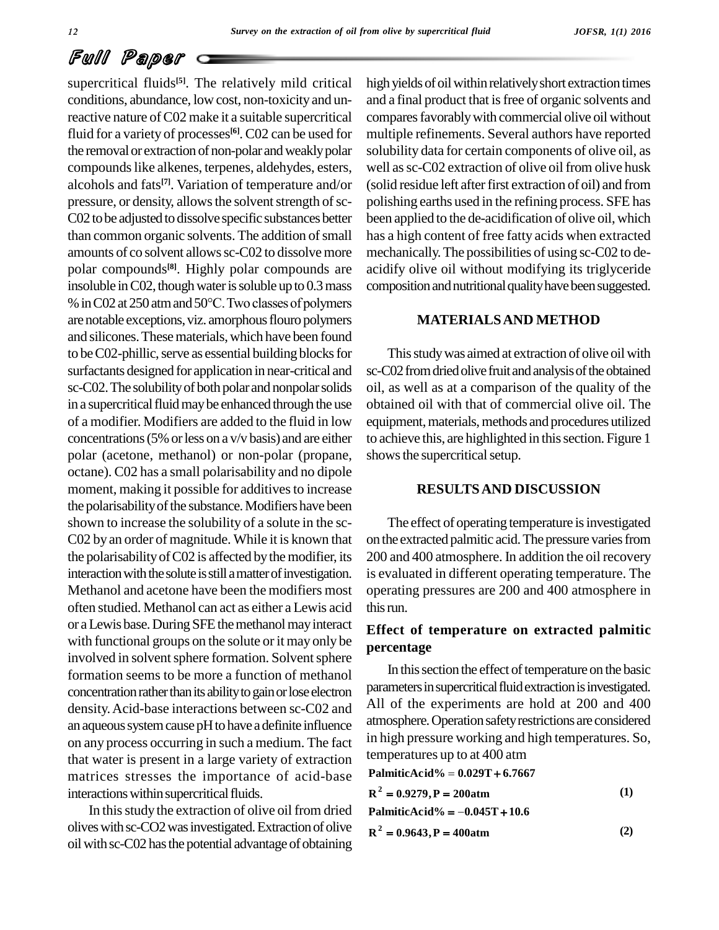### **12** *Survey on the extraction of oil* **.***from oliveby supercritical fluid*

# Full Paper

supercritical fluids<sup>[5]</sup>. The relatively mild critical hig conditions, abundance, low cost, non-toxicity and unreactive nature of C02 make it a suitable supercritical fluid for a variety of processes<sup>[6]</sup>. C02 can be used for mul the removal or extraction of non-polar and weakly polar compounds like alkenes, terpenes, aldehydes, esters, alcohols and fats **[7]**. Variation of temperature and/or pressure, or density, allows the solvent strength of sc-C02 to be adjusted to dissolve specific substances better than common organic solvents. The addition of small amounts of co solvent allows sc-C02 to dissolve more polar compounds<sup>[8]</sup>. Highly polar compounds are acidif<br>insoluble in C02, though water is soluble up to 0.3 mass compo<br>% in C02 at 250 atm and 50°C. Two classes of polymers insoluble in  $C<sub>02</sub>$ , though water is soluble up to  $0.3$  mass are notable exceptions, viz. amorphous flouro polymers and silicones.Thesematerials,which have been found to be C02-phillic, serve as essential building blocks for surfactants designed for application in near-critical and sc-C02.The solubilityof both polar and nonpolarsolids in a supercritical fluid may be enhanced through the use of a modifier. Modifiers are added to the fluid in low concentrations(5%orless on a v/v basis) and are either polar (acetone, methanol) or non-polar (propane, octane). C02 has a small polarisability and no dipole moment, making it possible for additives to increase the polarisability of the substance. Modifiers have been shown to increase the solubility of a solute in the sc- C02 by an order of magnitude. While it is known that the polarisability of C02 is affected by the modifier, its interaction with the solute is still a matter of investigation. Methanol and acetone have been the modifiers most often studied. Methanol can act as either a Lewis acid or a Lewis base. During SFE the methanol may interact with functional groups on the solute or it may only be involved in solvent sphere formation. Solvent sphere formation seems to be more a function of methanol concentration rather than its ability to gain or lose electron density.Acid-base interactions between sc-C02 and an aqueous system cause pH to have a definite influence on any process occurring in such a medium. The fact that water is present in a large variety of extraction matrices stresses the importance of acid-base interactions within supercritical fluids.

In this study the extraction of olive oil from dried oliveswithsc-CO2wasinvestigated.Extractionofolive oil with sc-C02 has the potential advantage of obtaining high yields of oil within relatively short extraction times and a final product that isfree of organic solvents and comparesfavorablywith commercial olive oil without multiple refinements. Several authors have reported solubility data for certain components of olive oil, as well as sc-C02 extraction of olive oil from olive husk (solid residue left afterfirst extraction of oil) and from polishing earths used in the refining process. SFE has been applied to the de-acidification of olive oil, which has a high content of free fatty acids when extracted mechanically.The possibilities of using sc-C02 to de acidify olive oil without modifying its triglyceride composition and nutritional quality have been suggested.

# **MATERIALSAND METHOD**

This study was aimed at extraction of olive oil with sc-C02 from dried olive fruit and analysis of the obtained oil, as well as at a comparison of the quality of the obtained oil with that of commercial olive oil. The equipment, materials, methods and procedures utilized to achieve this, are highlighted in this section. Figure 1 shows the supercritical setup.

### **RESULTSAND DISCUSSION**

The effect of operating temperature is investigated on the extracted palmitic acid. The pressure varies from 200 and 400 atmosphere. In addition the oil recovery is evaluated in different operating temperature. The operating pressures are 200 and 400 atmosphere in this run.

# **Effect of temperature on extracted palmitic percentage**

In this section the effect of temperature on the basic parameters in supercritical fluid extraction is investigated. All of the experiments are hold at 200 and 400 atmosphere.Operationsafetyrestrictions are considered in high pressure working and high temperatures. So, temperatures up to at 400 atm **PalmiticAcid% 0.029T 6.7667**

PalmiticAcid% = 
$$
0.029T + 6.7667
$$

\nR<sup>2</sup> =  $0.9279$ , P = 200atm

\nPalmiticAcid% =  $-0.045T + 10.6$ 

\n(1)

$$
PalmiticAcid\% = -0.045T + 10.6
$$
  

$$
\lambda^2 = 0.9643, P = 400atm
$$
 (2)

 $R^2 = 0.9643$ ,  $P = 400$ atm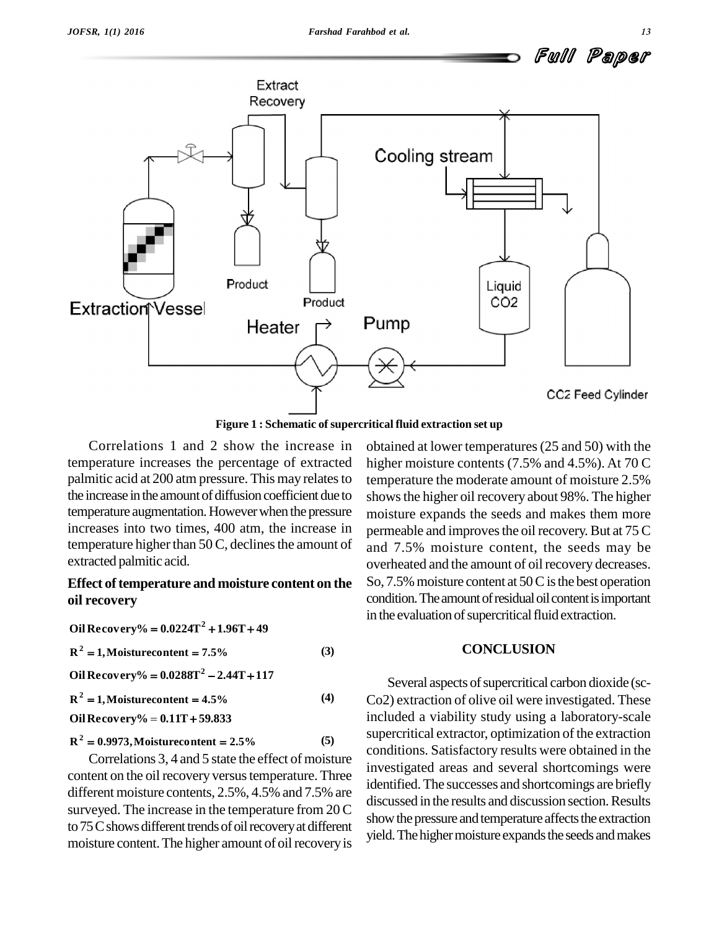

**Figure 1 : Schematic of supercritical fluid extraction set up**

Correlations 1 and 2 show the increase in temperature increases the percentage of extracted palmitic acid at 200 atm pressure. This may relates to the increase in the amount of diffusion coefficient due to temperature augmentation.Howeverwhen the pressure increases into two times, 400 atm, the increase in temperature higher than  $50$  C, declines the amount of extracted palmitic acid.

# **Effect** of temperature and moisture content on the **oil recovery** 0il recovery<br>Oil Recovery% = 0.0224T<sup>2</sup> + 1.96T + 49

 $R^2 = 1$ , Moisturecontent = 7.5%<br> **Qil Pacoverv<sup>0</sup>/ = 0.0289T<sup>2</sup> = 2.4/ 2** = 1, Moisturecontent = 7.5% (3)  $R^2 = 1$ , Moisturecontent = 7.5%<br>Oil Recovery% =  $0.0288T^2 - 2.44T + 117$  $R^2 = 1$ , Moistu **2** = 1, Moisturecontent =  $4.5\%$  (4) **OilRecovery% 0.11T 59.833 R 0.9973,Moisturecontent 2.5% (5)** Oil Recovery% =  $0.11T + 59.833$ 

Correlations 3, 4 and 5 state the effect of moisture content on the oil recovery versus temperature. Three different moisture contents, 2.5%, 4.5% and 7.5% are surveyed. The increase in the temperature from 20 C to 75 C shows different trends of oil recovery at different moisture content. The higher amount of oil recovery is obtained at lower temperatures(25 and 50) with the higher moisture contents (7.5% and 4.5%). At 70 C temperature the moderate amount of moisture 2.5% showsthe higher oil recovery about 98%. The higher moisture expands the seeds and makes them more permeable and improves the oil recovery. But at 75 C and 7.5% moisture content, the seeds may be overheated and the amount of oil recovery decreases. So,  $7.5\%$  moisture content at  $50C$  is the best operation condition. The amount of residual oil content is important in the evaluation of supercritical fluid extraction.

## **CONCLUSION**

Several aspects of supercritical carbon dioxide (sc-Co<sub>2</sub>) extraction of olive oil were investigated. These included a viability study using a laboratory-scale supercritical extractor, optimization of the extraction conditions. Satisfactory results were obtained in the investigated areas and several shortcomings were identified.The successes and shortcomings are briefly discussed in the results and discussion section.Results show the pressure and temperature affects the extraction yield. The higher moisture expands the seeds and makes